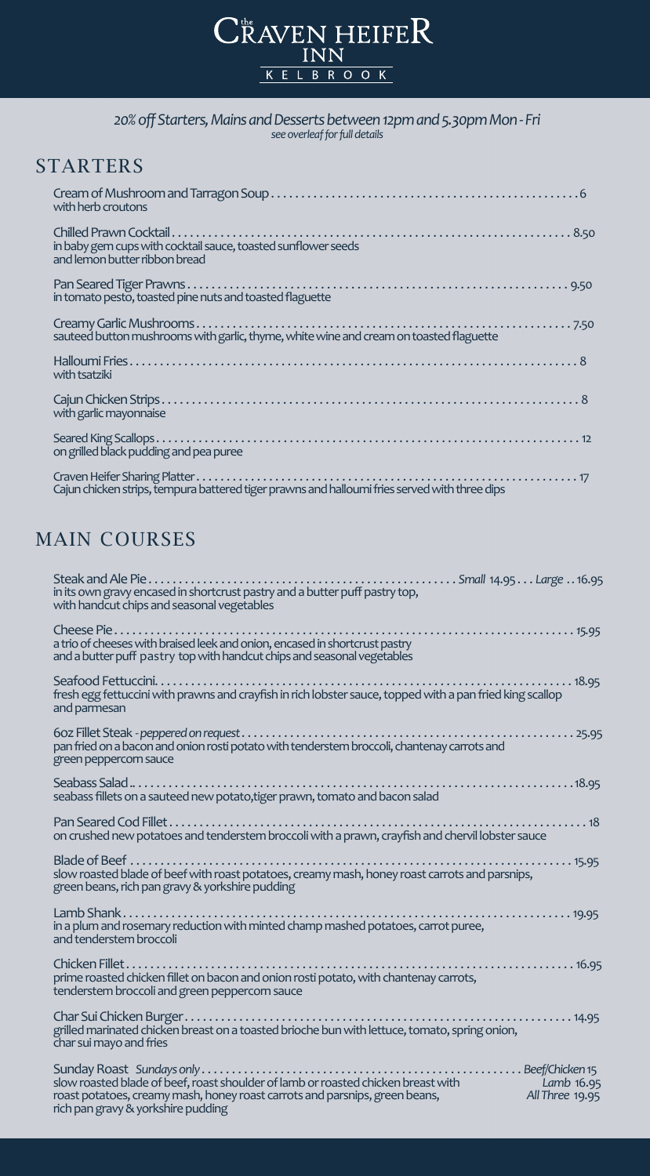# CRAVEN HEIFER KELBROOK

#### *20% off Starters, Mains and Desserts between 12pm and 5.30pm Mon - Fri see overleaf for full details*

### **STARTERS**

| with herb croutons                                                                             |
|------------------------------------------------------------------------------------------------|
| in baby gem cups with cocktail sauce, toasted sunflower seeds<br>and lemon butter ribbon bread |
| in tomato pesto, toasted pine nuts and toasted flaguette                                       |
| sauteed button mushrooms with garlic, thyme, white wine and cream on toasted flaguette         |
| with tsatziki                                                                                  |
| with garlic mayonnaise                                                                         |
| on grilled black pudding and pea puree                                                         |
|                                                                                                |

Cajun chicken strips, tempura battered tiger prawns and halloumi fries served with three dips

## MAIN COURSES

| in its own gravy encased in shortcrust pastry and a butter puff pastry top,<br>with handcut chips and seasonal vegetables                                                                                                            |
|--------------------------------------------------------------------------------------------------------------------------------------------------------------------------------------------------------------------------------------|
| a trio of cheeses with braised leek and onion, encased in shortcrust pastry<br>and a butter puff pastry top with handcut chips and seasonal vegetables                                                                               |
| fresh egg fettuccini with prawns and crayfish in rich lobster sauce, topped with a pan fried king scallop<br>and parmesan                                                                                                            |
| green peppercorn sauce                                                                                                                                                                                                               |
| seabass fillets on a sauteed new potato, tiger prawn, tomato and bacon salad                                                                                                                                                         |
| on crushed new potatoes and tenderstem broccoli with a prawn, crayfish and chervil lobster sauce                                                                                                                                     |
| slow roasted blade of beef with roast potatoes, creamy mash, honey roast carrots and parsnips,<br>green beans, rich pan gravy & yorkshire pudding                                                                                    |
| in a plum and rosemary reduction with minted champ mashed potatoes, carrot puree,<br>and tenderstem broccoli                                                                                                                         |
| prime roasted chicken fillet on bacon and onion rosti potato, with chantenay carrots,<br>tenderstem broccoli and green peppercorn sauce                                                                                              |
| grilled marinated chicken breast on a toasted brioche bun with lettuce, tomato, spring onion,<br>char sui mayo and fries                                                                                                             |
| slow roasted blade of beef, roast shoulder of lamb or roasted chicken breast with Lamb 16.95<br>roast potatoes, creamy mash, honey roast carrots and parsnips, green beans,<br>All Three 19.95<br>rich pan gravy & yorkshire pudding |